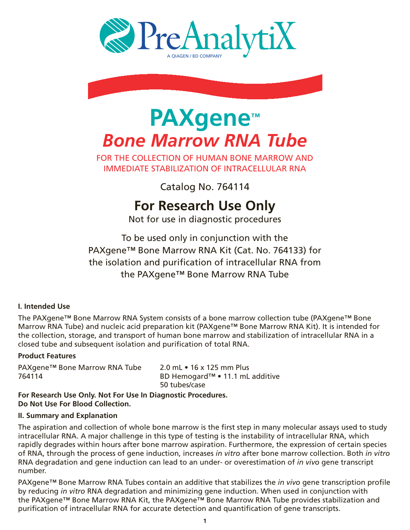



# **PAXgene™** *Bone Marrow RNA Tube*

FOR The Collection of Human Bone Marrow and Immediate Stabilization of intracellular RNA

Catalog No. 764114

# **For Research Use Only**

Not for use in diagnostic procedures

To be used only in conjunction with the PAXgene™ Bone Marrow RNA Kit (Cat. No. 764133) for the isolation and purification of intracellular RNA from the PAXgene™ Bone Marrow RNA Tube

#### **I. Intended Use**

The PAXgene™ Bone Marrow RNA System consists of a bone marrow collection tube (PAXgene™ Bone Marrow RNA Tube) and nucleic acid preparation kit (PAXgene™ Bone Marrow RNA Kit). It is intended for the collection, storage, and transport of human bone marrow and stabilization of intracellular RNA in a closed tube and subsequent isolation and purification of total RNA.

#### **Product Features**

PAXgene™ Bone Marrow RNA Tube 2.0 mL • 16 x 125 mm Plus 764114 BD Hemogard™ • 11.1 mL additive

50 tubes/case

**For Research Use Only. Not For Use In Diagnostic Procedures. Do Not Use For Blood Collection.**

#### **II. Summary and Explanation**

The aspiration and collection of whole bone marrow is the first step in many molecular assays used to study intracellular RNA. A major challenge in this type of testing is the instability of intracellular RNA, which rapidly degrades within hours after bone marrow aspiration. Furthermore, the expression of certain species of RNA, through the process of gene induction, increases *in vitro* after bone marrow collection. Both *in vitro* RNA degradation and gene induction can lead to an under- or overestimation of *in vivo* gene transcript number.

PAXgene™ Bone Marrow RNA Tubes contain an additive that stabilizes the *in vivo* gene transcription profile by reducing *in vitro* RNA degradation and minimizing gene induction. When used in conjunction with the PAXgene™ Bone Marrow RNA Kit, the PAXgene™ Bone Marrow RNA Tube provides stabilization and purification of intracellular RNA for accurate detection and quantification of gene transcripts.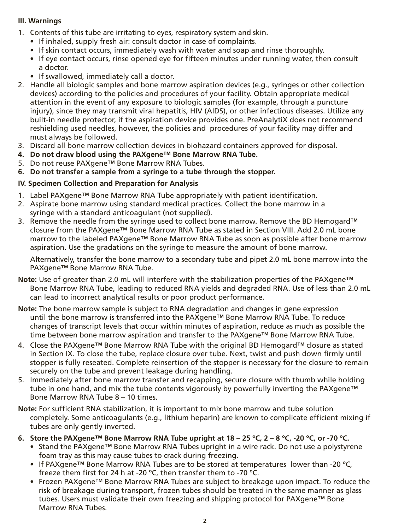#### **III. Warnings**

- 1. Contents of this tube are irritating to eyes, respiratory system and skin.
	- If inhaled, supply fresh air: consult doctor in case of complaints.
	- If skin contact occurs, immediately wash with water and soap and rinse thoroughly.
	- If eye contact occurs, rinse opened eye for fifteen minutes under running water, then consult a doctor.
	- If swallowed, immediately call a doctor.
- 2. Handle all biologic samples and bone marrow aspiration devices (e.g., syringes or other collection devices) according to the policies and procedures of your facility. Obtain appropriate medical attention in the event of any exposure to biologic samples (for example, through a puncture injury), since they may transmit viral hepatitis, HIV (AIDS), or other infectious diseases. Utilize any built-in needle protector, if the aspiration device provides one. PreAnalytiX does not recommend reshielding used needles, however, the policies and procedures of your facility may differ and must always be followed.
- 3. Discard all bone marrow collection devices in biohazard containers approved for disposal.
- **4. Do not draw blood using the PAXgene™ Bone Marrow RNA Tube.**
- 5. Do not reuse PAXgene™ Bone Marrow RNA Tubes.
- **6. Do not transfer a sample from a syringe to a tube through the stopper.**

#### **IV. Specimen Collection and Preparation for Analysis**

- 1. Label PAXgene™ Bone Marrow RNA Tube appropriately with patient identification.
- 2. Aspirate bone marrow using standard medical practices. Collect the bone marrow in a syringe with a standard anticoagulant (not supplied).
- 3. Remove the needle from the syringe used to collect bone marrow. Remove the BD Hemogard<sup>™</sup> closure from the PAXgene™ Bone Marrow RNA Tube as stated in Section VIII. Add 2.0 mL bone marrow to the labeled PAXgene™ Bone Marrow RNA Tube as soon as possible after bone marrow aspiration. Use the gradations on the syringe to measure the amount of bone marrow.

 Alternatively, transfer the bone marrow to a secondary tube and pipet 2.0 mL bone marrow into the PAXgene™ Bone Marrow RNA Tube.

- **Note:** Use of greater than 2.0 mL will interfere with the stabilization properties of the PAXgene™ Bone Marrow RNA Tube, leading to reduced RNA yields and degraded RNA. Use of less than 2.0 mL can lead to incorrect analytical results or poor product performance.
- **Note:** The bone marrow sample is subject to RNA degradation and changes in gene expression until the bone marrow is transferred into the PAXgene™ Bone Marrow RNA Tube. To reduce changes of transcript levels that occur within minutes of aspiration, reduce as much as possible the time between bone marrow aspiration and transfer to the PAXgene™ Bone Marrow RNA Tube.
- 4. Close the PAXgene™ Bone Marrow RNA Tube with the original BD Hemogard™ closure as stated in Section IX. To close the tube, replace closure over tube. Next, twist and push down firmly until stopper is fully reseated. Complete reinsertion of the stopper is necessary for the closure to remain securely on the tube and prevent leakage during handling.
- 5. Immediately after bone marrow transfer and recapping, secure closure with thumb while holding tube in one hand, and mix the tube contents vigorously by powerfully inverting the PAXgene™ Bone Marrow RNA Tube 8 – 10 times.
- **Note:** For sufficient RNA stabilization, it is important to mix bone marrow and tube solution completely. Some anticoagulants (e.g., lithium heparin) are known to complicate efficient mixing if tubes are only gently inverted.
- **6. Store the PAXgene™ Bone Marrow RNA Tube upright at 18 25 ºC, 2 8 ºC, -20 ºC, or -70 ºC.**
	- Stand the PAXgene™ Bone Marrow RNA Tubes upright in a wire rack. Do not use a polystyrene foam tray as this may cause tubes to crack during freezing.
	- If PAXgene™ Bone Marrow RNA Tubes are to be stored at temperatures lower than -20 °C, freeze them first for 24 h at -20 ºC, then transfer them to -70 ºC.
	- Frozen PAXgene™ Bone Marrow RNA Tubes are subject to breakage upon impact. To reduce the risk of breakage during transport, frozen tubes should be treated in the same manner as glass tubes. Users must validate their own freezing and shipping protocol for PAXgene™ Bone Marrow RNA Tubes.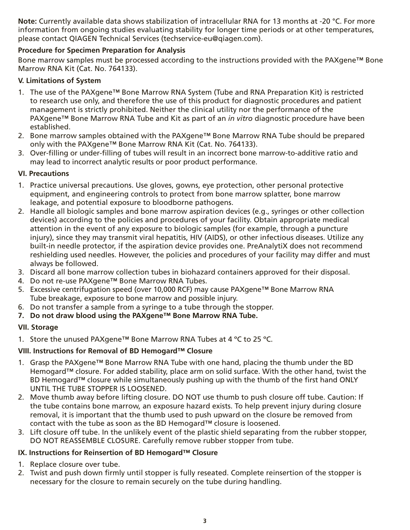**Note:** Currently available data shows stabilization of intracellular RNA for 13 months at -20 °C. For more information from ongoing studies evaluating stability for longer time periods or at other temperatures, please contact QIAGEN Technical Services (techservice-eu@qiagen.com).

#### **Procedure for Specimen Preparation for Analysis**

Bone marrow samples must be processed according to the instructions provided with the PAXgene™ Bone Marrow RNA Kit (Cat. No. 764133).

#### **V. Limitations of System**

- 1. The use of the PAXgene™ Bone Marrow RNA System (Tube and RNA Preparation Kit) is restricted to research use only, and therefore the use of this product for diagnostic procedures and patient management is strictly prohibited. Neither the clinical utility nor the performance of the PAXgene™ Bone Marrow RNA Tube and Kit as part of an *in vitro* diagnostic procedure have been established.
- 2. Bone marrow samples obtained with the PAXgene™ Bone Marrow RNA Tube should be prepared only with the PAXgene™ Bone Marrow RNA Kit (Cat. No. 764133).
- 3. Over-filling or under-filling of tubes will result in an incorrect bone marrow-to-additive ratio and may lead to incorrect analytic results or poor product performance.

#### **VI. Precautions**

- 1. Practice universal precautions. Use gloves, gowns, eye protection, other personal protective equipment, and engineering controls to protect from bone marrow splatter, bone marrow leakage, and potential exposure to bloodborne pathogens.
- 2. Handle all biologic samples and bone marrow aspiration devices (e.g., syringes or other collection devices) according to the policies and procedures of your facility. Obtain appropriate medical attention in the event of any exposure to biologic samples (for example, through a puncture injury), since they may transmit viral hepatitis, HIV (AIDS), or other infectious diseases. Utilize any built-in needle protector, if the aspiration device provides one. PreAnalytiX does not recommend reshielding used needles. However, the policies and procedures of your facility may differ and must always be followed.
- 3. Discard all bone marrow collection tubes in biohazard containers approved for their disposal.
- 4. Do not re-use PAXgene™ Bone Marrow RNA Tubes.
- 5. Excessive centrifugation speed (over 10,000 RCF) may cause PAXgene™ Bone Marrow RNA Tube breakage, exposure to bone marrow and possible injury.
- 6. Do not transfer a sample from a syringe to a tube through the stopper.
- **7. Do not draw blood using the PAXgene™ Bone Marrow RNA Tube.**

## **VII. Storage**

1. Store the unused PAXgene™ Bone Marrow RNA Tubes at 4 ºC to 25 ºC.

## **VIII. Instructions for Removal of BD Hemogard™ Closure**

- 1. Grasp the PAXgene™ Bone Marrow RNA Tube with one hand, placing the thumb under the BD Hemogard™ closure. For added stability, place arm on solid surface. With the other hand, twist the BD Hemogard™ closure while simultaneously pushing up with the thumb of the first hand ONLY until the tube stopper is loosened.
- 2. Move thumb away before lifting closure. DO NOT use thumb to push closure off tube. Caution: If the tube contains bone marrow, an exposure hazard exists. To help prevent injury during closure removal, it is important that the thumb used to push upward on the closure be removed from contact with the tube as soon as the BD Hemogard™ closure is loosened.
- 3. Lift closure off tube. In the unlikely event of the plastic shield separating from the rubber stopper, DO NOT REASSEMBLE CLOSURE. Carefully remove rubber stopper from tube.

#### **IX. Instructions for Reinsertion of BD Hemogard™ Closure**

- 1. Replace closure over tube.
- 2. Twist and push down firmly until stopper is fully reseated. Complete reinsertion of the stopper is necessary for the closure to remain securely on the tube during handling.